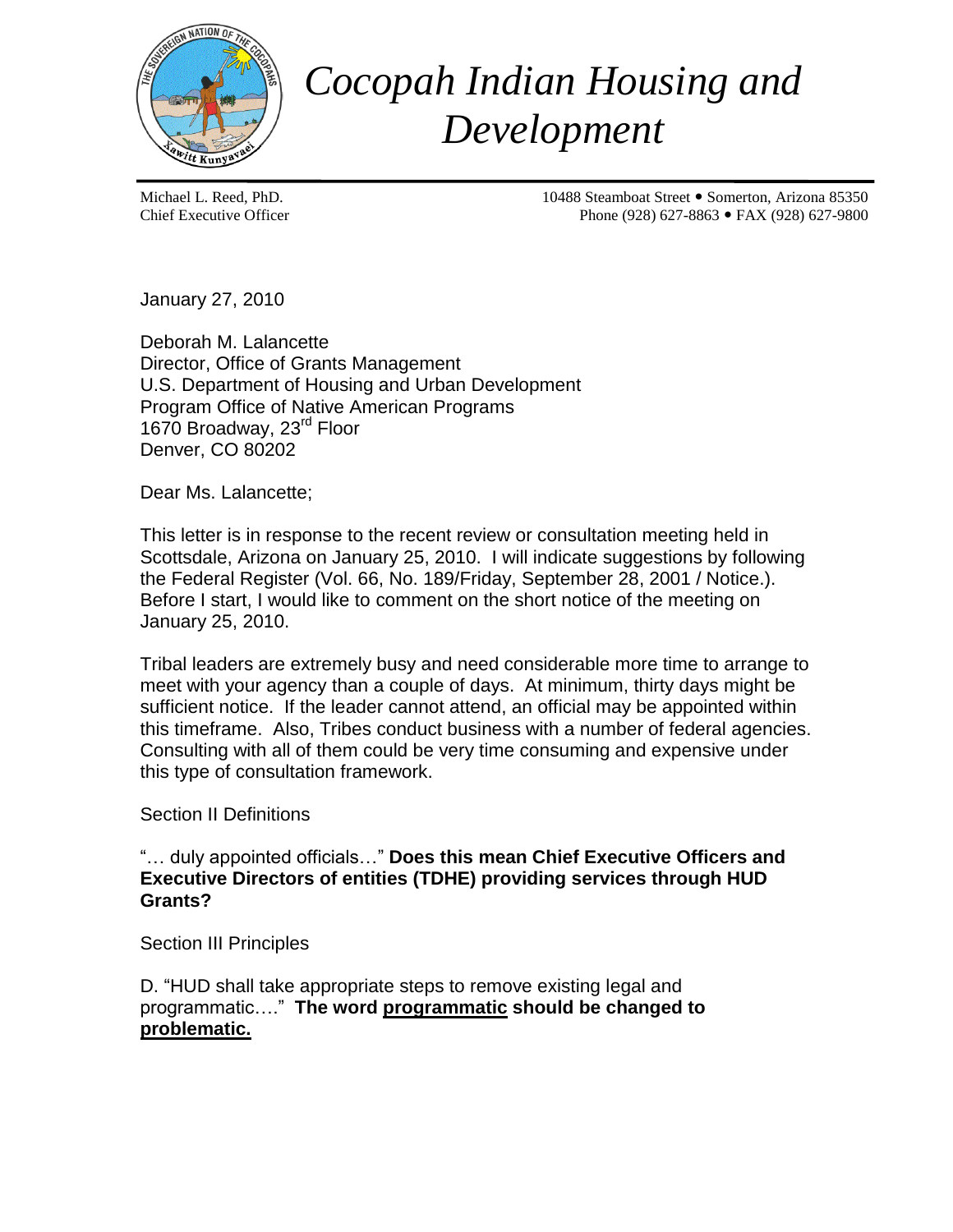

## *Cocopah Indian Housing and Development*

Michael L. Reed, PhD. 10488 Steamboat Street Somerton, Arizona 85350 Chief Executive Officer 2008 27-8863 • FAX (928) 627-9800

January 27, 2010

Deborah M. Lalancette Director, Office of Grants Management U.S. Department of Housing and Urban Development Program Office of Native American Programs 1670 Broadway, 23<sup>rd</sup> Floor Denver, CO 80202

Dear Ms. Lalancette;

This letter is in response to the recent review or consultation meeting held in Scottsdale, Arizona on January 25, 2010. I will indicate suggestions by following the Federal Register (Vol. 66, No. 189/Friday, September 28, 2001 / Notice.). Before I start, I would like to comment on the short notice of the meeting on January 25, 2010.

Tribal leaders are extremely busy and need considerable more time to arrange to meet with your agency than a couple of days. At minimum, thirty days might be sufficient notice. If the leader cannot attend, an official may be appointed within this timeframe. Also, Tribes conduct business with a number of federal agencies. Consulting with all of them could be very time consuming and expensive under this type of consultation framework.

Section II Definitions

"… duly appointed officials…" **Does this mean Chief Executive Officers and Executive Directors of entities (TDHE) providing services through HUD Grants?**

Section III Principles

D. "HUD shall take appropriate steps to remove existing legal and programmatic…." **The word programmatic should be changed to problematic.**